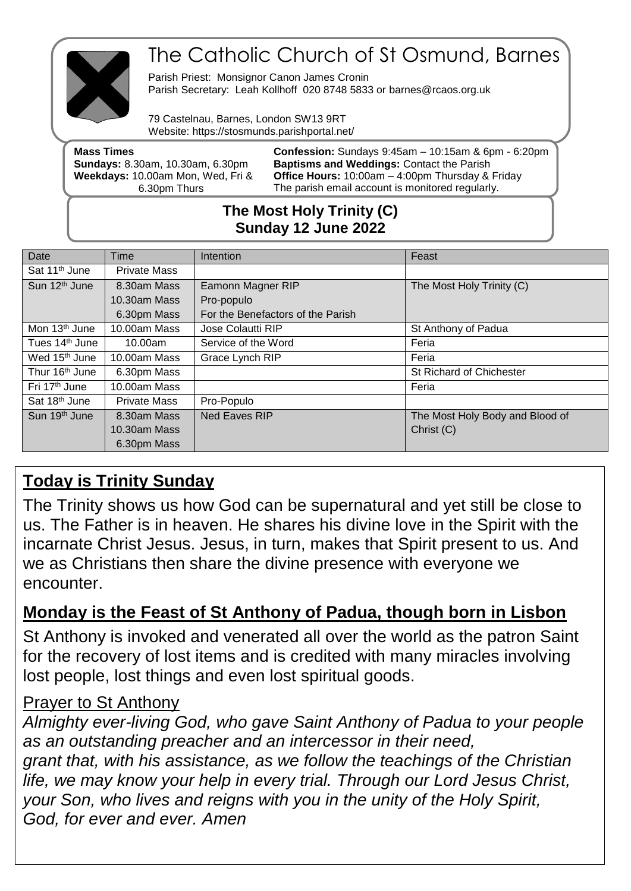

# The Catholic Church of St Osmund, Barnes

Parish Priest: Monsignor Canon James Cronin Parish Secretary: Leah Kollhoff 020 8748 5833 or barnes@rcaos.org.uk

79 Castelnau, Barnes, London SW13 9RT Website: https://stosmunds.parishportal.net/

| <b>Mass Times</b>                       | <b>Confession:</b> Sundays $9:45$ am $-10:15$ am & 6pm $-6:20$ pm |
|-----------------------------------------|-------------------------------------------------------------------|
| <b>Sundays: 8.30am, 10.30am, 6.30pm</b> | <b>Baptisms and Weddings: Contact the Parish</b>                  |
| Weekdays: 10.00am Mon, Wed, Fri &       | <b>Office Hours: 10:00am - 4:00pm Thursday &amp; Friday</b>       |
| 6.30pm Thurs                            | The parish email account is monitored regularly.                  |
|                                         |                                                                   |

### **The Most Holy Trinity (C) Sunday 12 June 2022**

| Date                       | Time                | Intention                         | Feast                           |
|----------------------------|---------------------|-----------------------------------|---------------------------------|
| Sat 11 <sup>th</sup> June  | <b>Private Mass</b> |                                   |                                 |
| Sun 12 <sup>th</sup> June  | 8.30am Mass         | Eamonn Magner RIP                 | The Most Holy Trinity (C)       |
|                            | 10.30am Mass        | Pro-populo                        |                                 |
|                            | 6.30pm Mass         | For the Benefactors of the Parish |                                 |
| Mon 13 <sup>th</sup> June  | 10.00am Mass        | Jose Colautti RIP                 | St Anthony of Padua             |
| Tues 14 <sup>th</sup> June | 10.00am             | Service of the Word               | Feria                           |
| Wed 15 <sup>th</sup> June  | 10.00am Mass        | Grace Lynch RIP                   | Feria                           |
| Thur 16 <sup>th</sup> June | 6.30pm Mass         |                                   | St Richard of Chichester        |
| Fri 17 <sup>th</sup> June  | 10.00am Mass        |                                   | Feria                           |
| Sat 18th June              | <b>Private Mass</b> | Pro-Populo                        |                                 |
| Sun 19 <sup>th</sup> June  | 8.30am Mass         | <b>Ned Eaves RIP</b>              | The Most Holy Body and Blood of |
|                            | 10.30am Mass        |                                   | Christ (C)                      |
|                            | 6.30pm Mass         |                                   |                                 |

## **Today is Trinity Sunday**

The Trinity shows us how God can be supernatural and yet still be close to us. The Father is in heaven. He shares his divine love in the Spirit with the incarnate Christ Jesus. Jesus, in turn, makes that Spirit present to us. And we as Christians then share the divine presence with everyone we encounter.

### **Monday is the Feast of St Anthony of Padua, though born in Lisbon**

St Anthony is invoked and venerated all over the world as the patron Saint for the recovery of lost items and is credited with many miracles involving lost people, lost things and even lost spiritual goods.

### Prayer to St Anthony

*Almighty ever-living God, who gave Saint Anthony of Padua to your people as an outstanding preacher and an intercessor in their need, grant that, with his assistance, as we follow the teachings of the Christian life, we may know your help in every trial. Through our Lord Jesus Christ, your Son, who lives and reigns with you in the unity of the Holy Spirit, God, for ever and ever. Amen*